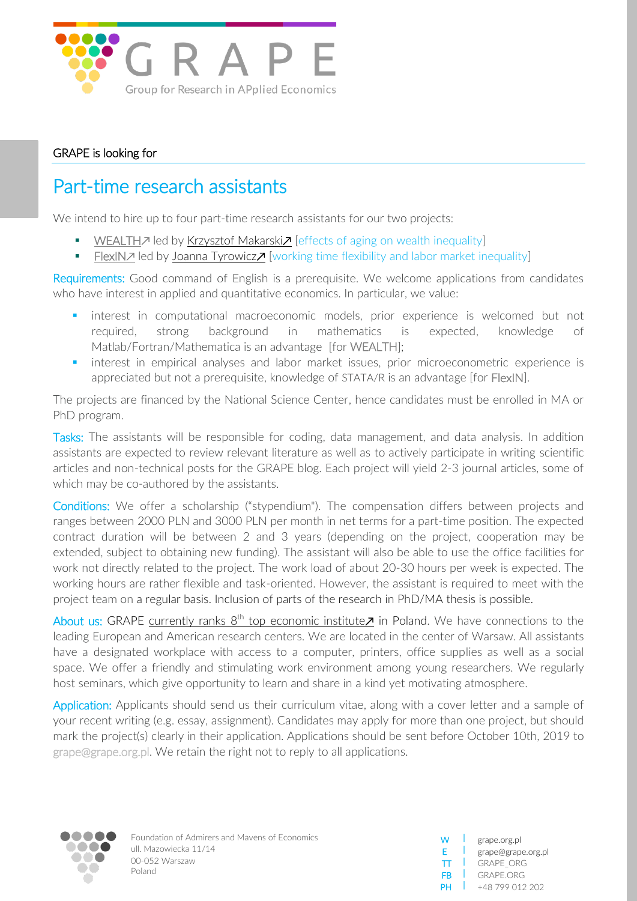

## GRAPE is looking for

## Part-time research assistants

We intend to hire up to four part-time research assistants for our two projects:

- [WEALTH](http://grape.org.pl/project/wealth-inequality)<sub>Z</sub> led by [Krzysztof Makarski](grape.org.pl/kmakarski)<sub>Z</sub> [effects of aging on wealth inequality]
- [FlexIN](grape.org.pl/project/flexin)<sup>*n*</sup> led by [Joanna Tyrowicz](grape.org.pl/jtyrowicz)∕ [working time flexibility and labor market inequality]

Requirements: Good command of English is a prerequisite. We welcome applications from candidates who have interest in applied and quantitative economics. In particular, we value:

- interest in computational macroeconomic models, prior experience is welcomed but not required, strong background in mathematics is expected, knowledge of Matlab/Fortran/Mathematica is an advantage [for WEALTH];
- **•** interest in empirical analyses and labor market issues, prior microeconometric experience is appreciated but not a prerequisite, knowledge of STATA/R is an advantage [for FlexIN].

The projects are financed by the National Science Center, hence candidates must be enrolled in MA or PhD program.

Tasks: The assistants will be responsible for coding, data management, and data analysis. In addition assistants are expected to review relevant literature as well as to actively participate in writing scientific articles and non-technical posts for the GRAPE blog. Each project will yield 2-3 journal articles, some of which may be co-authored by the assistants.

Conditions: We offer a scholarship ("stypendium"). The compensation differs between projects and ranges between 2000 PLN and 3000 PLN per month in net terms for a part-time position. The expected contract duration will be between 2 and 3 years (depending on the project, cooperation may be extended, subject to obtaining new funding). The assistant will also be able to use the office facilities for work not directly related to the project. The work load of about 20-30 hours per week is expected. The working hours are rather flexible and task-oriented. However, the assistant is required to meet with the project team on a regular basis. Inclusion of parts of the research in PhD/MA thesis is possible.

About us: GRAPE currently ranks  $8^{th}$  [top economic institute](https://ideas.repec.org/top/top.poland.html) $Z$  in Poland. We have connections to the leading European and American research centers. We are located in the center of Warsaw. All assistants have a designated workplace with access to a computer, printers, office supplies as well as a social space. We offer a friendly and stimulating work environment among young researchers. We regularly host seminars, which give opportunity to learn and share in a kind yet motivating atmosphere.

Application: Applicants should send us their curriculum vitae, along with a cover letter and a sample of your recent writing (e.g. essay, assignment). Candidates may apply for more than one project, but should mark the project(s) clearly in their application. Applications should be sent before October 10th, 2019 to grape@grape.org.pl. We retain the right not to reply to all applications.



Foundation of Admirers and Mavens of Economics ull. Mazowiecka 11/14 00-052 Warszaw Poland

| w  | grape.org.pl       |
|----|--------------------|
| F. | grape@grape.org.pl |
| TT | GRAPE ORG          |
| FB | GRAPE ORG          |
| ÞН | +48 799 012 202    |